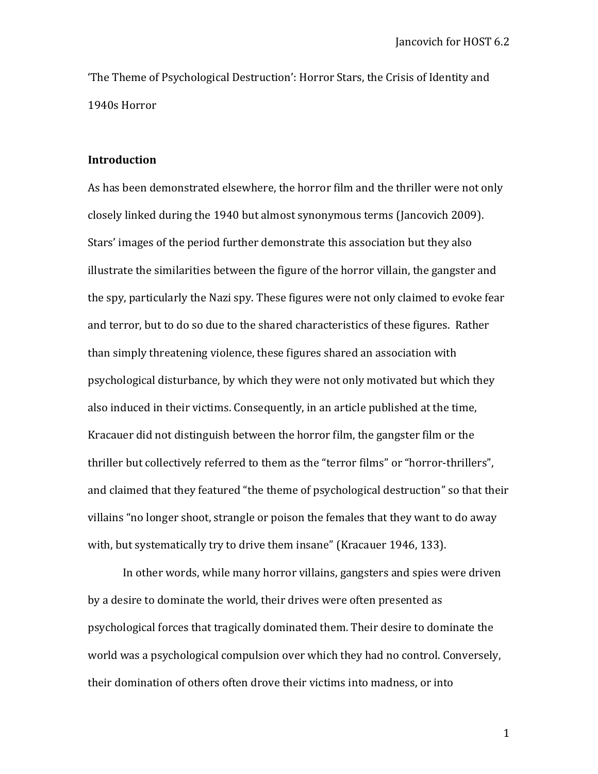'The Theme of Psychological Destruction': Horror Stars, the Crisis of Identity and 1940s Horror

## **Introduction**

As has been demonstrated elsewhere, the horror film and the thriller were not only closely linked during the 1940 but almost synonymous terms (Jancovich 2009). Stars' images of the period further demonstrate this association but they also illustrate the similarities between the figure of the horror villain, the gangster and the spy, particularly the Nazi spy. These figures were not only claimed to evoke fear and terror, but to do so due to the shared characteristics of these figures. Rather than simply threatening violence, these figures shared an association with psychological disturbance, by which they were not only motivated but which they also induced in their victims. Consequently, in an article published at the time, Kracauer did not distinguish between the horror film, the gangster film or the thriller but collectively referred to them as the "terror films" or "horror-thrillers", and claimed that they featured "the theme of psychological destruction" so that their villains "no longer shoot, strangle or poison the females that they want to do away with, but systematically try to drive them insane" (Kracauer 1946, 133).

In other words, while many horror villains, gangsters and spies were driven by a desire to dominate the world, their drives were often presented as psychological forces that tragically dominated them. Their desire to dominate the world was a psychological compulsion over which they had no control. Conversely, their domination of others often drove their victims into madness, or into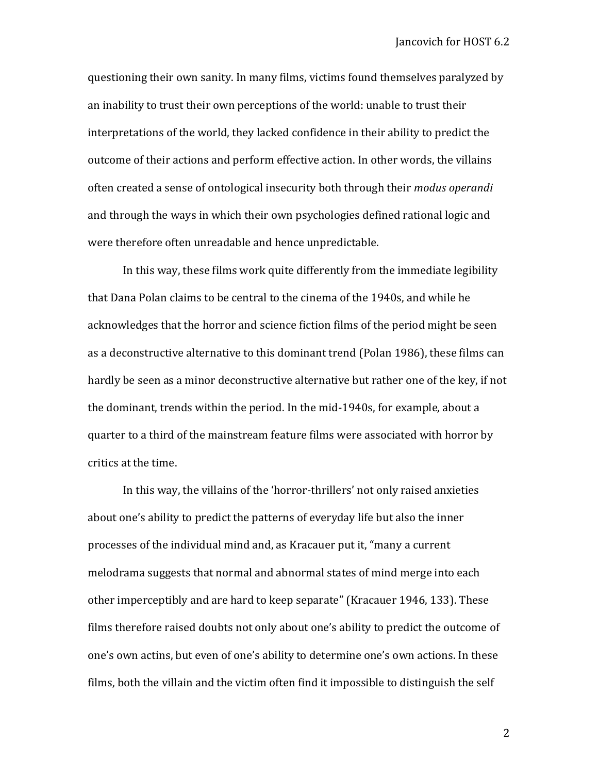questioning their own sanity. In many films, victims found themselves paralyzed by an inability to trust their own perceptions of the world: unable to trust their interpretations of the world, they lacked confidence in their ability to predict the outcome of their actions and perform effective action. In other words, the villains often created a sense of ontological insecurity both through their *modus operandi* and through the ways in which their own psychologies defined rational logic and were therefore often unreadable and hence unpredictable.

In this way, these films work quite differently from the immediate legibility that Dana Polan claims to be central to the cinema of the 1940s, and while he acknowledges that the horror and science fiction films of the period might be seen as a deconstructive alternative to this dominant trend (Polan 1986), these films can hardly be seen as a minor deconstructive alternative but rather one of the key, if not the dominant, trends within the period. In the mid-1940s, for example, about a quarter to a third of the mainstream feature films were associated with horror by critics at the time.

In this way, the villains of the 'horror-thrillers' not only raised anxieties about one's ability to predict the patterns of everyday life but also the inner processes of the individual mind and, as Kracauer put it, "many a current melodrama suggests that normal and abnormal states of mind merge into each other imperceptibly and are hard to keep separate" (Kracauer 1946, 133). These films therefore raised doubts not only about one's ability to predict the outcome of one's own actins, but even of one's ability to determine one's own actions. In these films, both the villain and the victim often find it impossible to distinguish the self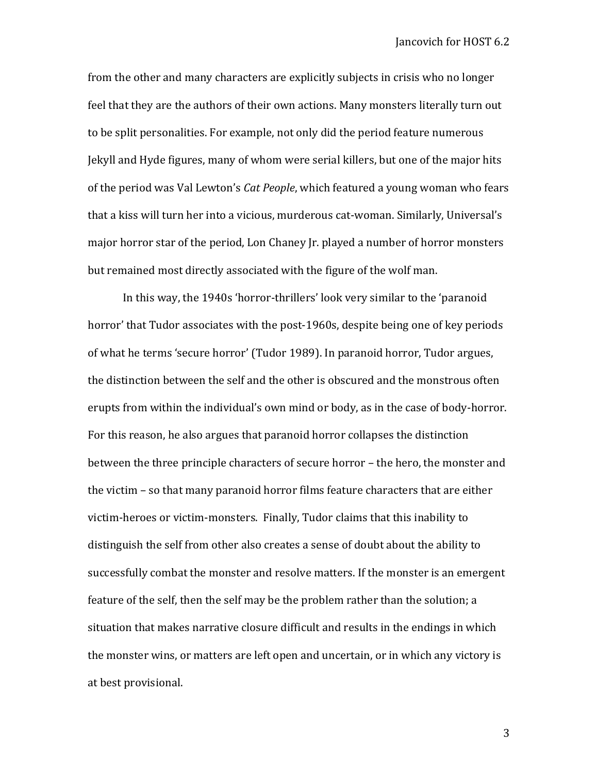from the other and many characters are explicitly subjects in crisis who no longer feel that they are the authors of their own actions. Many monsters literally turn out to be split personalities. For example, not only did the period feature numerous Jekyll and Hyde figures, many of whom were serial killers, but one of the major hits of the period was Val Lewton's *Cat People*, which featured a young woman who fears that a kiss will turn her into a vicious, murderous cat-woman. Similarly, Universal's major horror star of the period, Lon Chaney Jr. played a number of horror monsters but remained most directly associated with the figure of the wolf man.

In this way, the 1940s 'horror-thrillers' look very similar to the 'paranoid horror' that Tudor associates with the post-1960s, despite being one of key periods of what he terms 'secure horror' (Tudor 1989). In paranoid horror, Tudor argues, the distinction between the self and the other is obscured and the monstrous often erupts from within the individual's own mind or body, as in the case of body-horror. For this reason, he also argues that paranoid horror collapses the distinction between the three principle characters of secure horror – the hero, the monster and the victim – so that many paranoid horror films feature characters that are either victim-heroes or victim-monsters. Finally, Tudor claims that this inability to distinguish the self from other also creates a sense of doubt about the ability to successfully combat the monster and resolve matters. If the monster is an emergent feature of the self, then the self may be the problem rather than the solution; a situation that makes narrative closure difficult and results in the endings in which the monster wins, or matters are left open and uncertain, or in which any victory is at best provisional.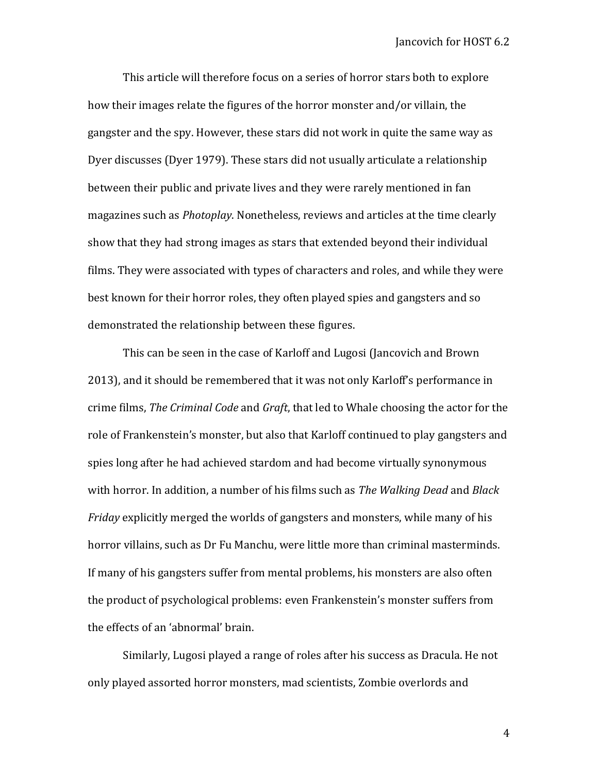This article will therefore focus on a series of horror stars both to explore how their images relate the figures of the horror monster and/or villain, the gangster and the spy. However, these stars did not work in quite the same way as Dyer discusses (Dyer 1979). These stars did not usually articulate a relationship between their public and private lives and they were rarely mentioned in fan magazines such as *Photoplay*. Nonetheless, reviews and articles at the time clearly show that they had strong images as stars that extended beyond their individual films. They were associated with types of characters and roles, and while they were best known for their horror roles, they often played spies and gangsters and so demonstrated the relationship between these figures.

This can be seen in the case of Karloff and Lugosi (Jancovich and Brown 2013), and it should be remembered that it was not only Karloff's performance in crime films, *The Criminal Code* and *Graft*, that led to Whale choosing the actor for the role of Frankenstein's monster, but also that Karloff continued to play gangsters and spies long after he had achieved stardom and had become virtually synonymous with horror. In addition, a number of his films such as *The Walking Dead* and *Black Friday* explicitly merged the worlds of gangsters and monsters, while many of his horror villains, such as Dr Fu Manchu, were little more than criminal masterminds. If many of his gangsters suffer from mental problems, his monsters are also often the product of psychological problems: even Frankenstein's monster suffers from the effects of an 'abnormal' brain.

Similarly, Lugosi played a range of roles after his success as Dracula. He not only played assorted horror monsters, mad scientists, Zombie overlords and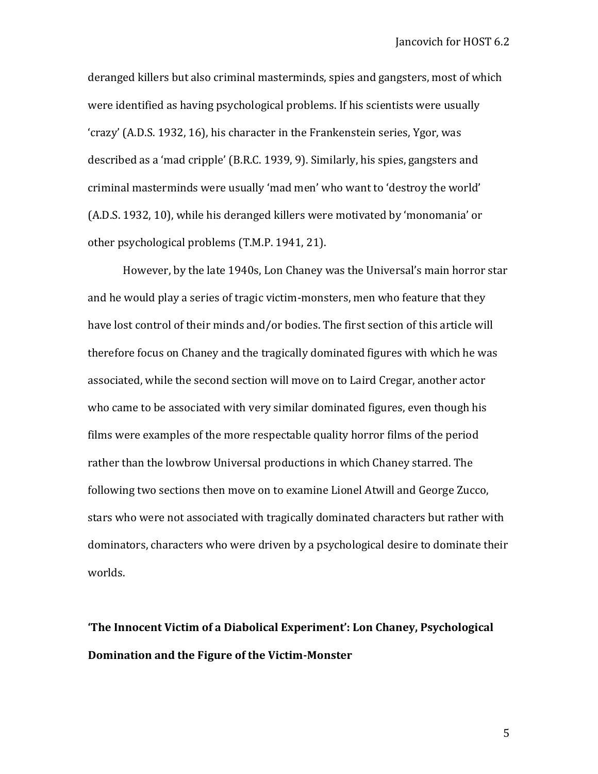deranged killers but also criminal masterminds, spies and gangsters, most of which were identified as having psychological problems. If his scientists were usually 'crazy' (A.D.S. 1932, 16), his character in the Frankenstein series, Ygor, was described as a 'mad cripple' (B.R.C. 1939, 9). Similarly, his spies, gangsters and criminal masterminds were usually 'mad men' who want to 'destroy the world' (A.D.S. 1932, 10), while his deranged killers were motivated by 'monomania' or other psychological problems (T.M.P. 1941, 21).

However, by the late 1940s, Lon Chaney was the Universal's main horror star and he would play a series of tragic victim-monsters, men who feature that they have lost control of their minds and/or bodies. The first section of this article will therefore focus on Chaney and the tragically dominated figures with which he was associated, while the second section will move on to Laird Cregar, another actor who came to be associated with very similar dominated figures, even though his films were examples of the more respectable quality horror films of the period rather than the lowbrow Universal productions in which Chaney starred. The following two sections then move on to examine Lionel Atwill and George Zucco, stars who were not associated with tragically dominated characters but rather with dominators, characters who were driven by a psychological desire to dominate their worlds.

**'The Innocent Victim of a Diabolical Experiment': Lon Chaney, Psychological Domination and the Figure of the Victim-Monster**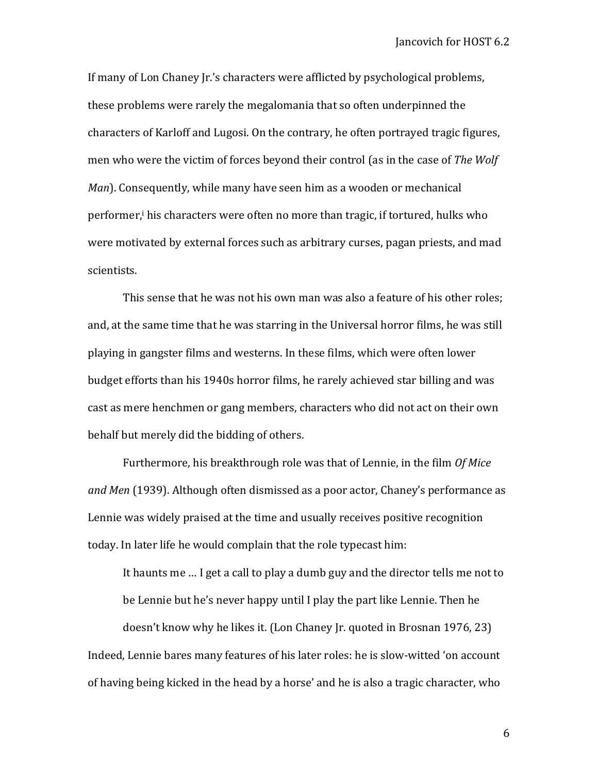If many of Lon Chaney Jr.'s characters were afflicted by psychological problems, these problems were rarely the megalomania that so often underpinned the characters of Karloff and Lugosi. On the contrary, he often portrayed tragic figures, men who were the victim of forces beyond their control (as in the case of *The Wolf Man*). Consequently, while many have seen him as a wooden or mechanical performer,<sup>i</sup> his characters were often no more than tragic, if tortured, hulks who were motivated by external forces such as arbitrary curses, pagan priests, and mad scientists.

This sense that he was not his own man was also a feature of his other roles; and, at the same time that he was starring in the Universal horror films, he was still playing in gangster films and westerns. In these films, which were often lower budget efforts than his 1940s horror films, he rarely achieved star billing and was cast as mere henchmen or gang members, characters who did not act on their own behalf but merely did the bidding of others.

Furthermore, his breakthrough role was that of Lennie, in the film *Of Mice and Men* (1939). Although often dismissed as a poor actor, Chaney's performance as Lennie was widely praised at the time and usually receives positive recognition today. In later life he would complain that the role typecast him:

It haunts me … I get a call to play a dumb guy and the director tells me not to be Lennie but he's never happy until I play the part like Lennie. Then he

doesn't know why he likes it. (Lon Chaney Jr. quoted in Brosnan 1976, 23) Indeed, Lennie bares many features of his later roles: he is slow-witted 'on account of having being kicked in the head by a horse' and he is also a tragic character, who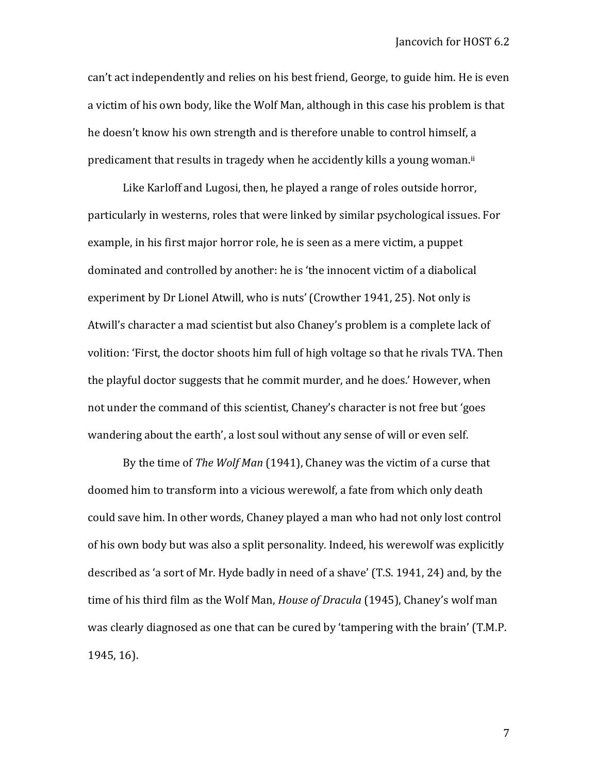can't act independently and relies on his best friend, George, to guide him. He is even a victim of his own body, like the Wolf Man, although in this case his problem is that he doesn't know his own strength and is therefore unable to control himself, a predicament that results in tragedy when he accidently kills a young woman.<sup>ii</sup>

Like Karloff and Lugosi, then, he played a range of roles outside horror, particularly in westerns, roles that were linked by similar psychological issues. For example, in his first major horror role, he is seen as a mere victim, a puppet dominated and controlled by another: he is 'the innocent victim of a diabolical experiment by Dr Lionel Atwill, who is nuts' (Crowther 1941, 25). Not only is Atwill's character a mad scientist but also Chaney's problem is a complete lack of volition: 'First, the doctor shoots him full of high voltage so that he rivals TVA. Then the playful doctor suggests that he commit murder, and he does.' However, when not under the command of this scientist, Chaney's character is not free but 'goes wandering about the earth', a lost soul without any sense of will or even self.

By the time of *The Wolf Man* (1941), Chaney was the victim of a curse that doomed him to transform into a vicious werewolf, a fate from which only death could save him. In other words, Chaney played a man who had not only lost control of his own body but was also a split personality. Indeed, his werewolf was explicitly described as 'a sort of Mr. Hyde badly in need of a shave' (T.S. 1941, 24) and, by the time of his third film as the Wolf Man, *House of Dracula* (1945), Chaney's wolf man was clearly diagnosed as one that can be cured by 'tampering with the brain' (T.M.P. 1945, 16).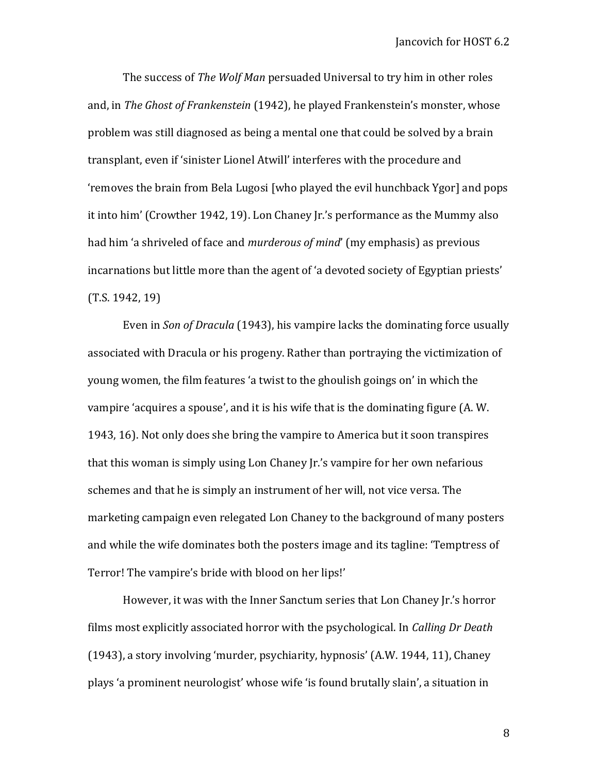The success of *The Wolf Man* persuaded Universal to try him in other roles and, in *The Ghost of Frankenstein* (1942), he played Frankenstein's monster, whose problem was still diagnosed as being a mental one that could be solved by a brain transplant, even if 'sinister Lionel Atwill' interferes with the procedure and 'removes the brain from Bela Lugosi [who played the evil hunchback Ygor] and pops it into him' (Crowther 1942, 19). Lon Chaney Jr.'s performance as the Mummy also had him 'a shriveled of face and *murderous of mind*' (my emphasis) as previous incarnations but little more than the agent of 'a devoted society of Egyptian priests' (T.S. 1942, 19)

Even in *Son of Dracula* (1943), his vampire lacks the dominating force usually associated with Dracula or his progeny. Rather than portraying the victimization of young women, the film features 'a twist to the ghoulish goings on' in which the vampire 'acquires a spouse', and it is his wife that is the dominating figure (A. W. 1943, 16). Not only does she bring the vampire to America but it soon transpires that this woman is simply using Lon Chaney Jr.'s vampire for her own nefarious schemes and that he is simply an instrument of her will, not vice versa. The marketing campaign even relegated Lon Chaney to the background of many posters and while the wife dominates both the posters image and its tagline: 'Temptress of Terror! The vampire's bride with blood on her lips!'

However, it was with the Inner Sanctum series that Lon Chaney Jr.'s horror films most explicitly associated horror with the psychological. In *Calling Dr Death* (1943), a story involving 'murder, psychiarity, hypnosis' (A.W. 1944, 11), Chaney plays 'a prominent neurologist' whose wife 'is found brutally slain', a situation in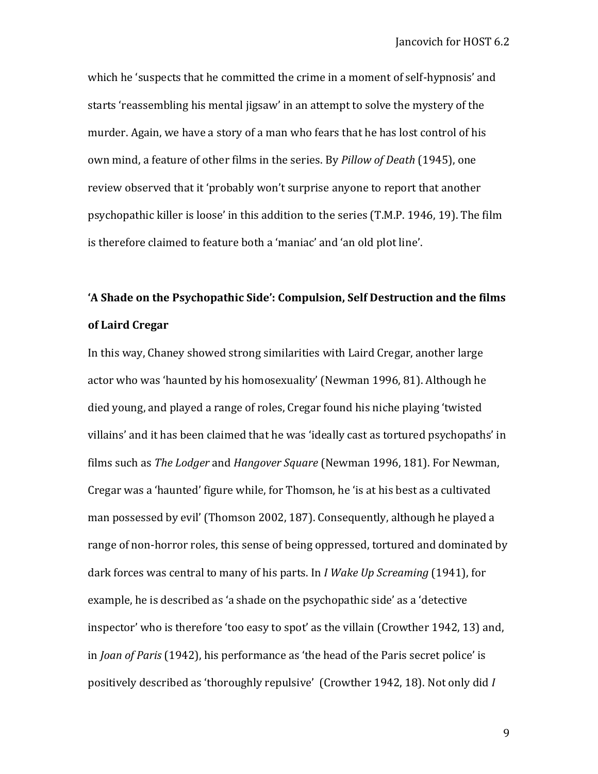which he 'suspects that he committed the crime in a moment of self-hypnosis' and starts 'reassembling his mental jigsaw' in an attempt to solve the mystery of the murder. Again, we have a story of a man who fears that he has lost control of his own mind, a feature of other films in the series. By *Pillow of Death* (1945), one review observed that it 'probably won't surprise anyone to report that another psychopathic killer is loose' in this addition to the series (T.M.P. 1946, 19). The film is therefore claimed to feature both a 'maniac' and 'an old plot line'.

# **'A Shade on the Psychopathic Side': Compulsion, Self Destruction and the films of Laird Cregar**

In this way, Chaney showed strong similarities with Laird Cregar, another large actor who was 'haunted by his homosexuality' (Newman 1996, 81). Although he died young, and played a range of roles, Cregar found his niche playing 'twisted villains' and it has been claimed that he was 'ideally cast as tortured psychopaths' in films such as *The Lodger* and *Hangover Square* (Newman 1996, 181). For Newman, Cregar was a 'haunted' figure while, for Thomson, he 'is at his best as a cultivated man possessed by evil' (Thomson 2002, 187). Consequently, although he played a range of non-horror roles, this sense of being oppressed, tortured and dominated by dark forces was central to many of his parts. In *I Wake Up Screaming* (1941), for example, he is described as 'a shade on the psychopathic side' as a 'detective inspector' who is therefore 'too easy to spot' as the villain (Crowther 1942, 13) and, in *Joan of Paris* (1942), his performance as 'the head of the Paris secret police' is positively described as 'thoroughly repulsive' (Crowther 1942, 18). Not only did *I*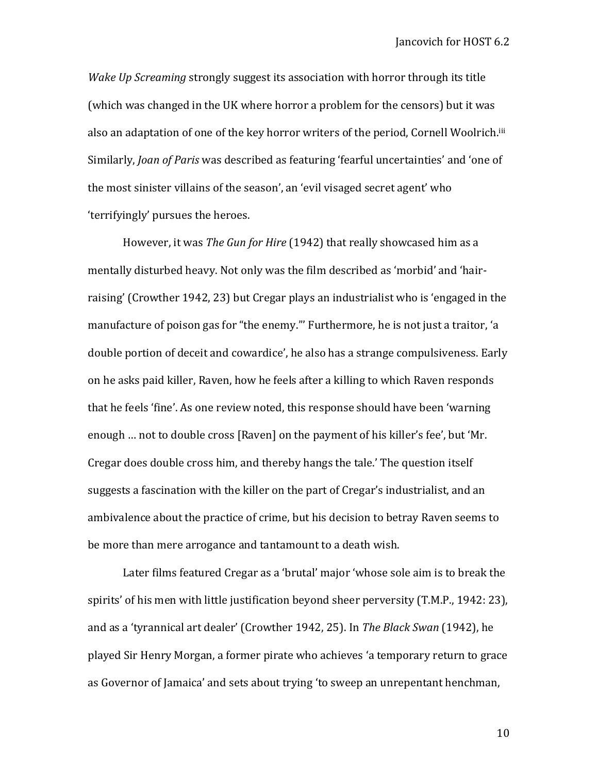*Wake Up Screaming* strongly suggest its association with horror through its title (which was changed in the UK where horror a problem for the censors) but it was also an adaptation of one of the key horror writers of the period, Cornell Woolrich.<sup>iii</sup> Similarly, *Joan of Paris* was described as featuring 'fearful uncertainties' and 'one of the most sinister villains of the season', an 'evil visaged secret agent' who 'terrifyingly' pursues the heroes.

However, it was *The Gun for Hire* (1942) that really showcased him as a mentally disturbed heavy. Not only was the film described as 'morbid' and 'hairraising' (Crowther 1942, 23) but Cregar plays an industrialist who is 'engaged in the manufacture of poison gas for "the enemy."' Furthermore, he is not just a traitor, 'a double portion of deceit and cowardice', he also has a strange compulsiveness. Early on he asks paid killer, Raven, how he feels after a killing to which Raven responds that he feels 'fine'. As one review noted, this response should have been 'warning enough … not to double cross [Raven] on the payment of his killer's fee', but 'Mr. Cregar does double cross him, and thereby hangs the tale.' The question itself suggests a fascination with the killer on the part of Cregar's industrialist, and an ambivalence about the practice of crime, but his decision to betray Raven seems to be more than mere arrogance and tantamount to a death wish.

Later films featured Cregar as a 'brutal' major 'whose sole aim is to break the spirits' of his men with little justification beyond sheer perversity (T.M.P., 1942: 23), and as a 'tyrannical art dealer' (Crowther 1942, 25). In *The Black Swan* (1942), he played Sir Henry Morgan, a former pirate who achieves 'a temporary return to grace as Governor of Jamaica' and sets about trying 'to sweep an unrepentant henchman,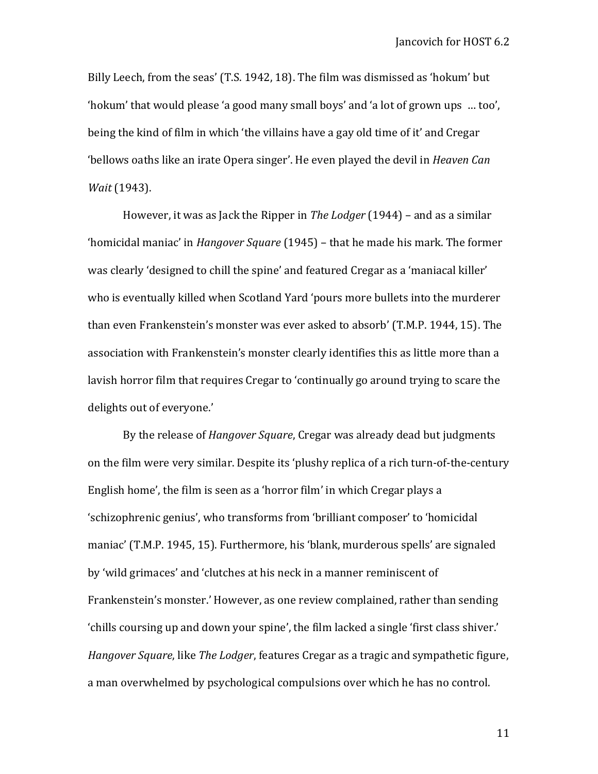Billy Leech, from the seas' (T.S. 1942, 18). The film was dismissed as 'hokum' but 'hokum' that would please 'a good many small boys' and 'a lot of grown ups … too', being the kind of film in which 'the villains have a gay old time of it' and Cregar 'bellows oaths like an irate Opera singer'. He even played the devil in *Heaven Can Wait* (1943).

However, it was as Jack the Ripper in *The Lodger* (1944) – and as a similar 'homicidal maniac' in *Hangover Square* (1945) – that he made his mark. The former was clearly 'designed to chill the spine' and featured Cregar as a 'maniacal killer' who is eventually killed when Scotland Yard 'pours more bullets into the murderer than even Frankenstein's monster was ever asked to absorb' (T.M.P. 1944, 15). The association with Frankenstein's monster clearly identifies this as little more than a lavish horror film that requires Cregar to 'continually go around trying to scare the delights out of everyone.'

By the release of *Hangover Square*, Cregar was already dead but judgments on the film were very similar. Despite its 'plushy replica of a rich turn-of-the-century English home', the film is seen as a 'horror film' in which Cregar plays a 'schizophrenic genius', who transforms from 'brilliant composer' to 'homicidal maniac' (T.M.P. 1945, 15). Furthermore, his 'blank, murderous spells' are signaled by 'wild grimaces' and 'clutches at his neck in a manner reminiscent of Frankenstein's monster.' However, as one review complained, rather than sending 'chills coursing up and down your spine', the film lacked a single 'first class shiver.' *Hangover Square*, like *The Lodger*, features Cregar as a tragic and sympathetic figure, a man overwhelmed by psychological compulsions over which he has no control.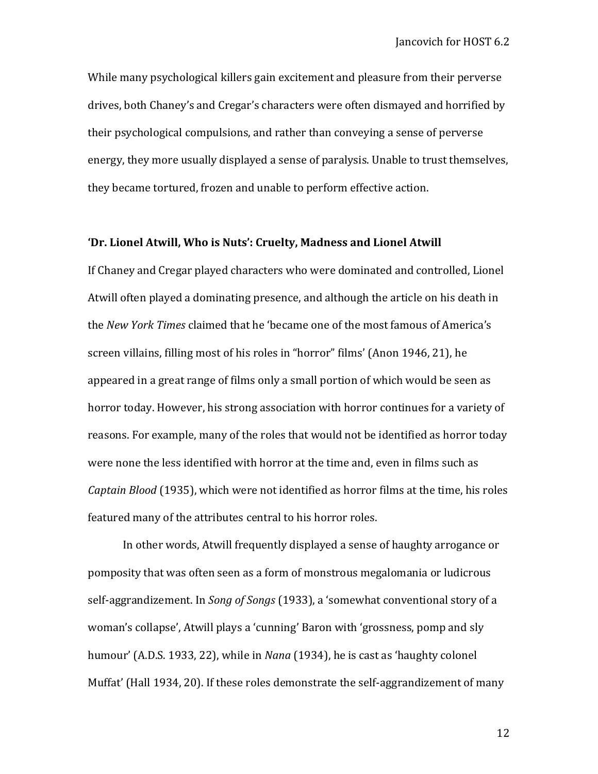While many psychological killers gain excitement and pleasure from their perverse drives, both Chaney's and Cregar's characters were often dismayed and horrified by their psychological compulsions, and rather than conveying a sense of perverse energy, they more usually displayed a sense of paralysis. Unable to trust themselves, they became tortured, frozen and unable to perform effective action.

## **'Dr. Lionel Atwill, Who is Nuts': Cruelty, Madness and Lionel Atwill**

If Chaney and Cregar played characters who were dominated and controlled, Lionel Atwill often played a dominating presence, and although the article on his death in the *New York Times* claimed that he 'became one of the most famous of America's screen villains, filling most of his roles in "horror" films' (Anon 1946, 21), he appeared in a great range of films only a small portion of which would be seen as horror today. However, his strong association with horror continues for a variety of reasons. For example, many of the roles that would not be identified as horror today were none the less identified with horror at the time and, even in films such as *Captain Blood* (1935), which were not identified as horror films at the time, his roles featured many of the attributes central to his horror roles.

In other words, Atwill frequently displayed a sense of haughty arrogance or pomposity that was often seen as a form of monstrous megalomania or ludicrous self-aggrandizement. In *Song of Songs* (1933), a 'somewhat conventional story of a woman's collapse', Atwill plays a 'cunning' Baron with 'grossness, pomp and sly humour' (A.D.S. 1933, 22), while in *Nana* (1934), he is cast as 'haughty colonel Muffat' (Hall 1934, 20). If these roles demonstrate the self-aggrandizement of many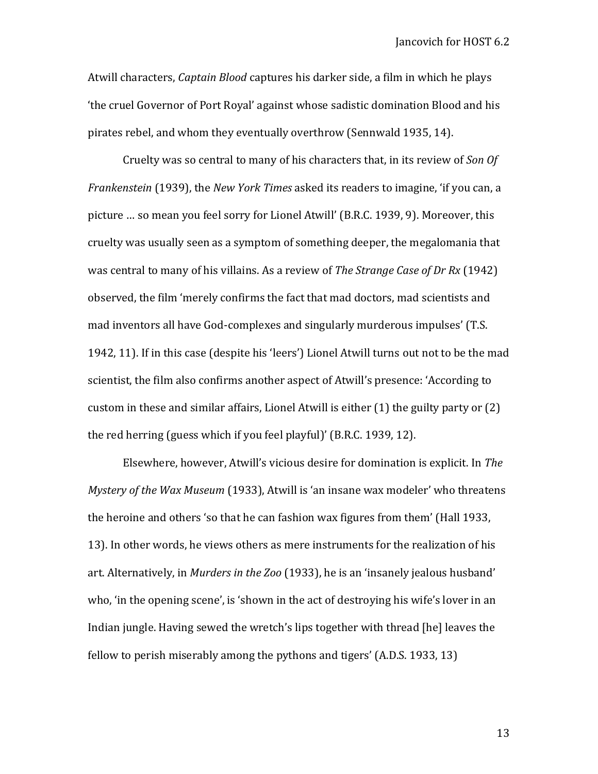Atwill characters, *Captain Blood* captures his darker side, a film in which he plays 'the cruel Governor of Port Royal' against whose sadistic domination Blood and his pirates rebel, and whom they eventually overthrow (Sennwald 1935, 14).

Cruelty was so central to many of his characters that, in its review of *Son Of Frankenstein* (1939), the *New York Times* asked its readers to imagine, 'if you can, a picture … so mean you feel sorry for Lionel Atwill' (B.R.C. 1939, 9). Moreover, this cruelty was usually seen as a symptom of something deeper, the megalomania that was central to many of his villains. As a review of *The Strange Case of Dr Rx* (1942) observed, the film 'merely confirms the fact that mad doctors, mad scientists and mad inventors all have God-complexes and singularly murderous impulses' (T.S. 1942, 11). If in this case (despite his 'leers') Lionel Atwill turns out not to be the mad scientist, the film also confirms another aspect of Atwill's presence: 'According to custom in these and similar affairs, Lionel Atwill is either (1) the guilty party or (2) the red herring (guess which if you feel playful)' (B.R.C. 1939, 12).

Elsewhere, however, Atwill's vicious desire for domination is explicit. In *The Mystery of the Wax Museum* (1933), Atwill is 'an insane wax modeler' who threatens the heroine and others 'so that he can fashion wax figures from them' (Hall 1933, 13). In other words, he views others as mere instruments for the realization of his art. Alternatively, in *Murders in the Zoo* (1933), he is an 'insanely jealous husband' who, 'in the opening scene', is 'shown in the act of destroying his wife's lover in an Indian jungle. Having sewed the wretch's lips together with thread [he] leaves the fellow to perish miserably among the pythons and tigers' (A.D.S. 1933, 13)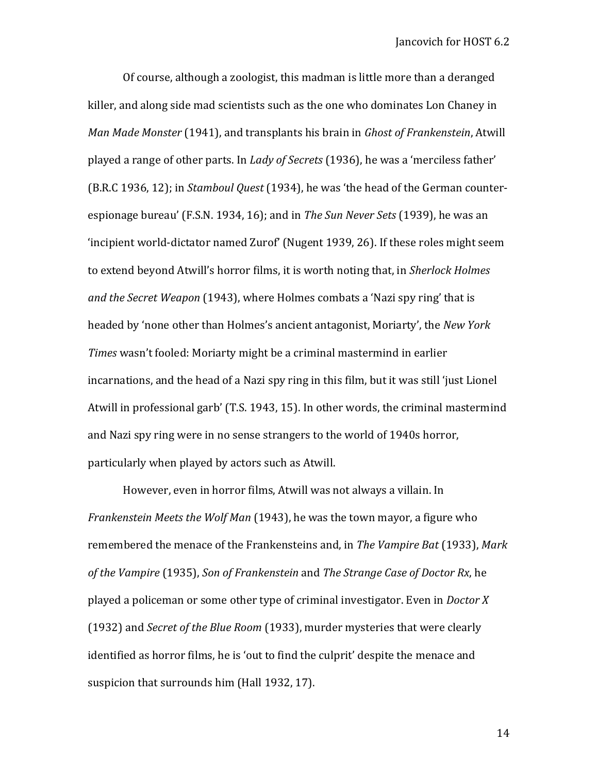Of course, although a zoologist, this madman is little more than a deranged killer, and along side mad scientists such as the one who dominates Lon Chaney in *Man Made Monster* (1941), and transplants his brain in *Ghost of Frankenstein*, Atwill played a range of other parts. In *Lady of Secrets* (1936), he was a 'merciless father' (B.R.C 1936, 12); in *Stamboul Quest* (1934), he was 'the head of the German counterespionage bureau' (F.S.N. 1934, 16); and in *The Sun Never Sets* (1939), he was an 'incipient world-dictator named Zurof' (Nugent 1939, 26). If these roles might seem to extend beyond Atwill's horror films, it is worth noting that, in *Sherlock Holmes and the Secret Weapon* (1943), where Holmes combats a 'Nazi spy ring' that is headed by 'none other than Holmes's ancient antagonist, Moriarty', the *New York Times* wasn't fooled: Moriarty might be a criminal mastermind in earlier incarnations, and the head of a Nazi spy ring in this film, but it was still 'just Lionel Atwill in professional garb' (T.S. 1943, 15). In other words, the criminal mastermind and Nazi spy ring were in no sense strangers to the world of 1940s horror, particularly when played by actors such as Atwill.

However, even in horror films, Atwill was not always a villain. In *Frankenstein Meets the Wolf Man* (1943), he was the town mayor, a figure who remembered the menace of the Frankensteins and, in *The Vampire Bat* (1933), *Mark of the Vampire* (1935), *Son of Frankenstein* and *The Strange Case of Doctor Rx*, he played a policeman or some other type of criminal investigator. Even in *Doctor X* (1932) and *Secret of the Blue Room* (1933), murder mysteries that were clearly identified as horror films, he is 'out to find the culprit' despite the menace and suspicion that surrounds him (Hall 1932, 17).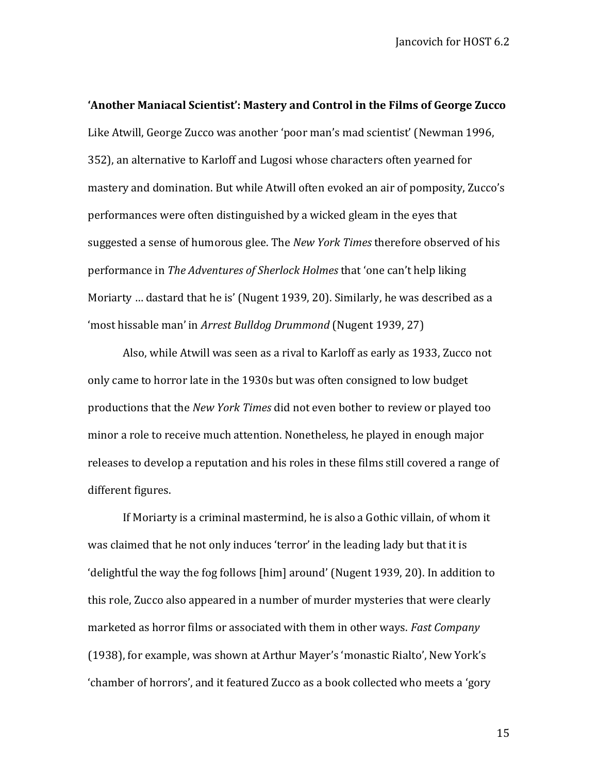**'Another Maniacal Scientist': Mastery and Control in the Films of George Zucco** Like Atwill, George Zucco was another 'poor man's mad scientist' (Newman 1996, 352), an alternative to Karloff and Lugosi whose characters often yearned for mastery and domination. But while Atwill often evoked an air of pomposity, Zucco's performances were often distinguished by a wicked gleam in the eyes that suggested a sense of humorous glee. The *New York Times* therefore observed of his performance in *The Adventures of Sherlock Holmes* that 'one can't help liking Moriarty … dastard that he is' (Nugent 1939, 20). Similarly, he was described as a 'most hissable man' in *Arrest Bulldog Drummond* (Nugent 1939, 27)

Also, while Atwill was seen as a rival to Karloff as early as 1933, Zucco not only came to horror late in the 1930s but was often consigned to low budget productions that the *New York Times* did not even bother to review or played too minor a role to receive much attention. Nonetheless, he played in enough major releases to develop a reputation and his roles in these films still covered a range of different figures.

If Moriarty is a criminal mastermind, he is also a Gothic villain, of whom it was claimed that he not only induces 'terror' in the leading lady but that it is 'delightful the way the fog follows [him] around' (Nugent 1939, 20). In addition to this role, Zucco also appeared in a number of murder mysteries that were clearly marketed as horror films or associated with them in other ways. *Fast Company* (1938), for example, was shown at Arthur Mayer's 'monastic Rialto', New York's 'chamber of horrors', and it featured Zucco as a book collected who meets a 'gory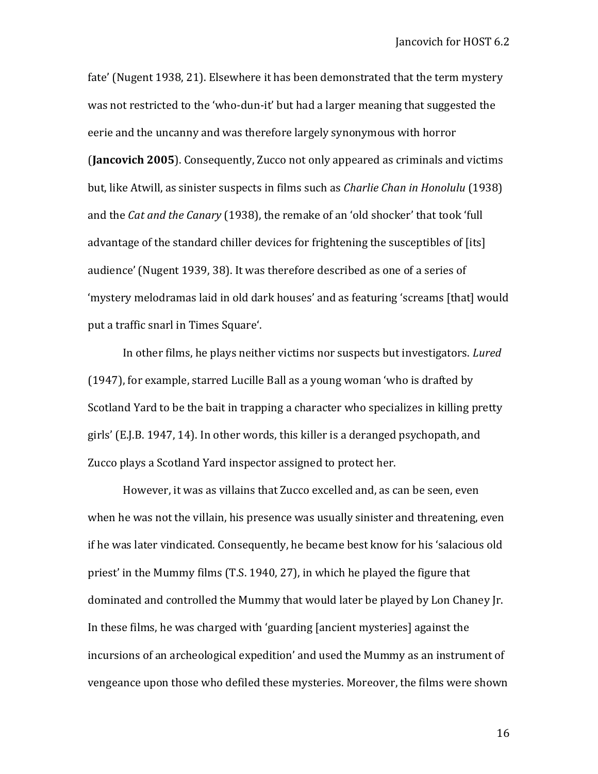fate' (Nugent 1938, 21). Elsewhere it has been demonstrated that the term mystery was not restricted to the 'who-dun-it' but had a larger meaning that suggested the eerie and the uncanny and was therefore largely synonymous with horror

(**Jancovich 2005**). Consequently, Zucco not only appeared as criminals and victims but, like Atwill, as sinister suspects in films such as *Charlie Chan in Honolulu* (1938) and the *Cat and the Canary* (1938), the remake of an 'old shocker' that took 'full advantage of the standard chiller devices for frightening the susceptibles of [its] audience' (Nugent 1939, 38). It was therefore described as one of a series of 'mystery melodramas laid in old dark houses' and as featuring 'screams [that] would put a traffic snarl in Times Square'.

In other films, he plays neither victims nor suspects but investigators. *Lured* (1947), for example, starred Lucille Ball as a young woman 'who is drafted by Scotland Yard to be the bait in trapping a character who specializes in killing pretty girls' (E.J.B. 1947, 14). In other words, this killer is a deranged psychopath, and Zucco plays a Scotland Yard inspector assigned to protect her.

However, it was as villains that Zucco excelled and, as can be seen, even when he was not the villain, his presence was usually sinister and threatening, even if he was later vindicated. Consequently, he became best know for his 'salacious old priest' in the Mummy films (T.S. 1940, 27), in which he played the figure that dominated and controlled the Mummy that would later be played by Lon Chaney Jr. In these films, he was charged with 'guarding [ancient mysteries] against the incursions of an archeological expedition' and used the Mummy as an instrument of vengeance upon those who defiled these mysteries. Moreover, the films were shown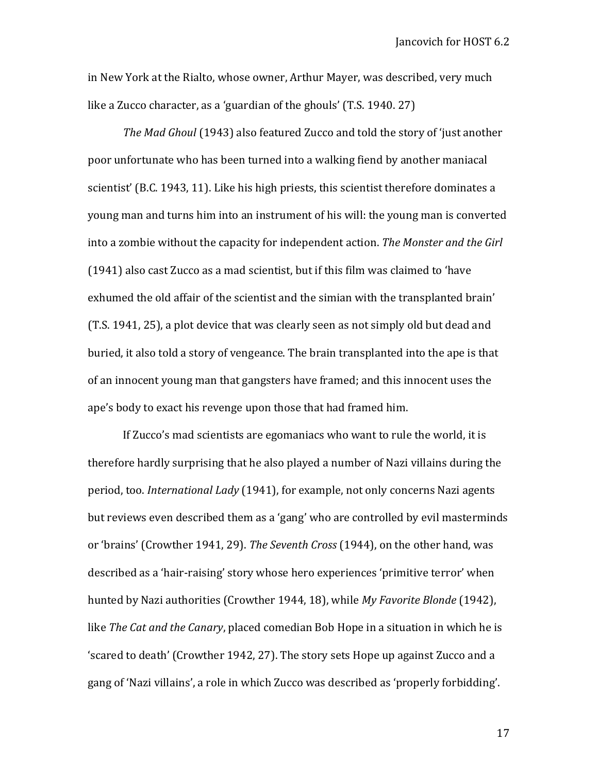in New York at the Rialto, whose owner, Arthur Mayer, was described, very much like a Zucco character, as a 'guardian of the ghouls' (T.S. 1940. 27)

*The Mad Ghoul* (1943) also featured Zucco and told the story of 'just another poor unfortunate who has been turned into a walking fiend by another maniacal scientist' (B.C. 1943, 11). Like his high priests, this scientist therefore dominates a young man and turns him into an instrument of his will: the young man is converted into a zombie without the capacity for independent action. *The Monster and the Girl* (1941) also cast Zucco as a mad scientist, but if this film was claimed to 'have exhumed the old affair of the scientist and the simian with the transplanted brain' (T.S. 1941, 25), a plot device that was clearly seen as not simply old but dead and buried, it also told a story of vengeance. The brain transplanted into the ape is that of an innocent young man that gangsters have framed; and this innocent uses the ape's body to exact his revenge upon those that had framed him.

If Zucco's mad scientists are egomaniacs who want to rule the world, it is therefore hardly surprising that he also played a number of Nazi villains during the period, too. *International Lady* (1941), for example, not only concerns Nazi agents but reviews even described them as a 'gang' who are controlled by evil masterminds or 'brains' (Crowther 1941, 29). *The Seventh Cross* (1944), on the other hand, was described as a 'hair-raising' story whose hero experiences 'primitive terror' when hunted by Nazi authorities (Crowther 1944, 18), while *My Favorite Blonde* (1942), like *The Cat and the Canary*, placed comedian Bob Hope in a situation in which he is 'scared to death' (Crowther 1942, 27). The story sets Hope up against Zucco and a gang of 'Nazi villains', a role in which Zucco was described as 'properly forbidding'.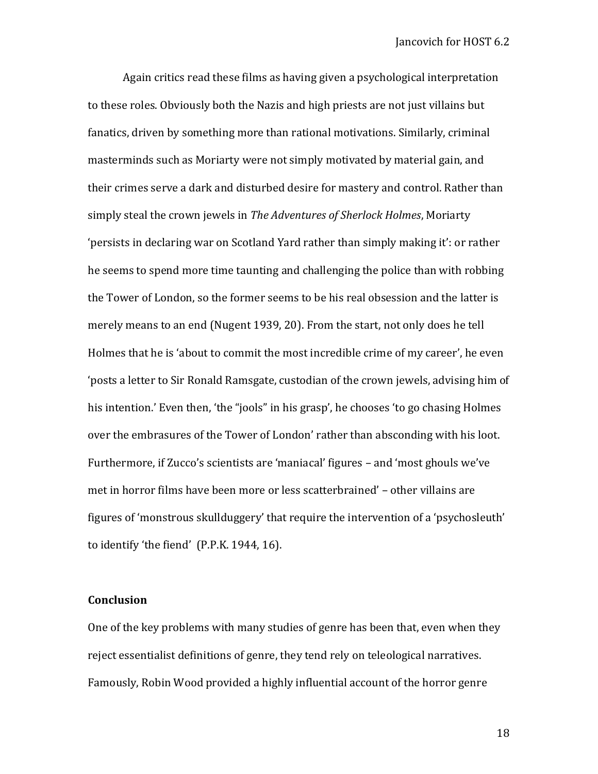Again critics read these films as having given a psychological interpretation to these roles. Obviously both the Nazis and high priests are not just villains but fanatics, driven by something more than rational motivations. Similarly, criminal masterminds such as Moriarty were not simply motivated by material gain, and their crimes serve a dark and disturbed desire for mastery and control. Rather than simply steal the crown jewels in *The Adventures of Sherlock Holmes*, Moriarty 'persists in declaring war on Scotland Yard rather than simply making it': or rather he seems to spend more time taunting and challenging the police than with robbing the Tower of London, so the former seems to be his real obsession and the latter is merely means to an end (Nugent 1939, 20). From the start, not only does he tell Holmes that he is 'about to commit the most incredible crime of my career', he even 'posts a letter to Sir Ronald Ramsgate, custodian of the crown jewels, advising him of his intention.' Even then, 'the "jools" in his grasp', he chooses 'to go chasing Holmes over the embrasures of the Tower of London' rather than absconding with his loot. Furthermore, if Zucco's scientists are 'maniacal' figures – and 'most ghouls we've met in horror films have been more or less scatterbrained' – other villains are figures of 'monstrous skullduggery' that require the intervention of a 'psychosleuth' to identify 'the fiend' (P.P.K. 1944, 16).

## **Conclusion**

One of the key problems with many studies of genre has been that, even when they reject essentialist definitions of genre, they tend rely on teleological narratives. Famously, Robin Wood provided a highly influential account of the horror genre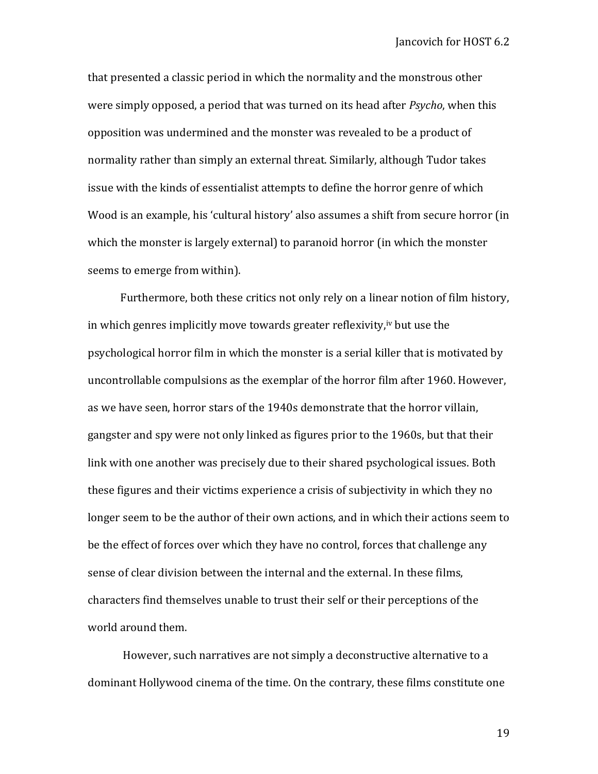that presented a classic period in which the normality and the monstrous other were simply opposed, a period that was turned on its head after *Psycho*, when this opposition was undermined and the monster was revealed to be a product of normality rather than simply an external threat. Similarly, although Tudor takes issue with the kinds of essentialist attempts to define the horror genre of which Wood is an example, his 'cultural history' also assumes a shift from secure horror (in which the monster is largely external) to paranoid horror (in which the monster seems to emerge from within).

Furthermore, both these critics not only rely on a linear notion of film history, in which genres implicitly move towards greater reflexivity,<sup>iv</sup> but use the psychological horror film in which the monster is a serial killer that is motivated by uncontrollable compulsions as the exemplar of the horror film after 1960. However, as we have seen, horror stars of the 1940s demonstrate that the horror villain, gangster and spy were not only linked as figures prior to the 1960s, but that their link with one another was precisely due to their shared psychological issues. Both these figures and their victims experience a crisis of subjectivity in which they no longer seem to be the author of their own actions, and in which their actions seem to be the effect of forces over which they have no control, forces that challenge any sense of clear division between the internal and the external. In these films, characters find themselves unable to trust their self or their perceptions of the world around them.

However, such narratives are not simply a deconstructive alternative to a dominant Hollywood cinema of the time. On the contrary, these films constitute one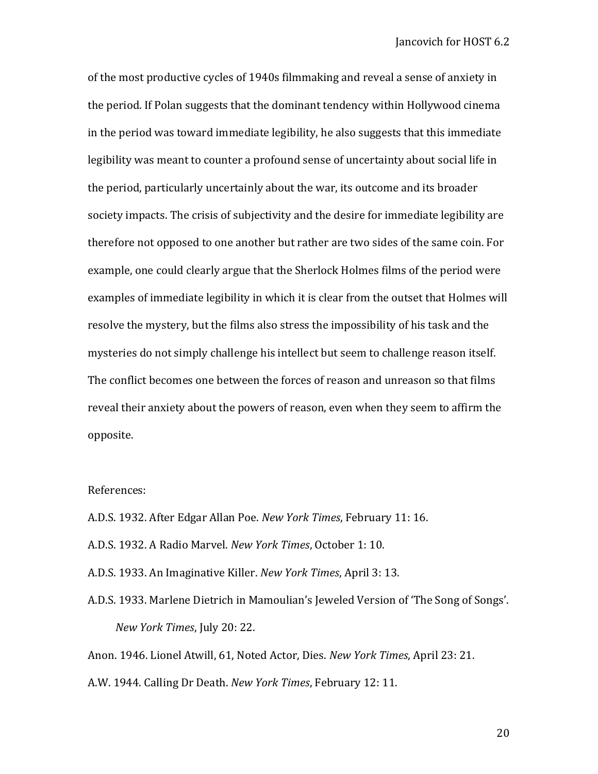of the most productive cycles of 1940s filmmaking and reveal a sense of anxiety in the period. If Polan suggests that the dominant tendency within Hollywood cinema in the period was toward immediate legibility, he also suggests that this immediate legibility was meant to counter a profound sense of uncertainty about social life in the period, particularly uncertainly about the war, its outcome and its broader society impacts. The crisis of subjectivity and the desire for immediate legibility are therefore not opposed to one another but rather are two sides of the same coin. For example, one could clearly argue that the Sherlock Holmes films of the period were examples of immediate legibility in which it is clear from the outset that Holmes will resolve the mystery, but the films also stress the impossibility of his task and the mysteries do not simply challenge his intellect but seem to challenge reason itself. The conflict becomes one between the forces of reason and unreason so that films reveal their anxiety about the powers of reason, even when they seem to affirm the opposite.

## References:

A.D.S. 1932. After Edgar Allan Poe. *New York Times*, February 11: 16.

- A.D.S. 1932. A Radio Marvel. *New York Times*, October 1: 10.
- A.D.S. 1933. An Imaginative Killer. *New York Times*, April 3: 13.
- A.D.S. 1933. Marlene Dietrich in Mamoulian's Jeweled Version of 'The Song of Songs'. *New York Times*, July 20: 22.

Anon. 1946. Lionel Atwill, 61, Noted Actor, Dies. *New York Times*, April 23: 21.

A.W. 1944. Calling Dr Death. *New York Times*, February 12: 11.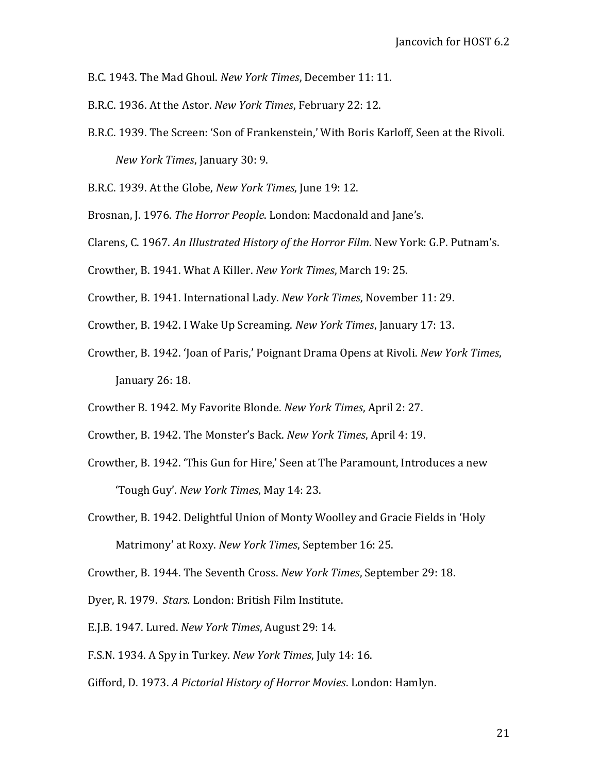B.C. 1943. The Mad Ghoul. *New York Times*, December 11: 11.

B.R.C. 1936. At the Astor. *New York Times*, February 22: 12.

B.R.C. 1939. The Screen: 'Son of Frankenstein,' With Boris Karloff, Seen at the Rivoli. *New York Times*, January 30: 9.

B.R.C. 1939. At the Globe, *New York Times*, June 19: 12.

- Brosnan, J. 1976. *The Horror People*. London: Macdonald and Jane's.
- Clarens, C. 1967. *An Illustrated History of the Horror Film*. New York: G.P. Putnam's.
- Crowther, B. 1941. What A Killer. *New York Times*, March 19: 25.
- Crowther, B. 1941. International Lady. *New York Times*, November 11: 29.
- Crowther, B. 1942. I Wake Up Screaming. *New York Times*, January 17: 13.
- Crowther, B. 1942. 'Joan of Paris,' Poignant Drama Opens at Rivoli. *New York Times*, January 26: 18.
- Crowther B. 1942. My Favorite Blonde. *New York Times*, April 2: 27.
- Crowther, B. 1942. The Monster's Back. *New York Times*, April 4: 19.
- Crowther, B. 1942. 'This Gun for Hire,' Seen at The Paramount, Introduces a new 'Tough Guy'. *New York Times*, May 14: 23.
- Crowther, B. 1942. Delightful Union of Monty Woolley and Gracie Fields in 'Holy Matrimony' at Roxy. *New York Times*, September 16: 25.

Crowther, B. 1944. The Seventh Cross. *New York Times*, September 29: 18.

Dyer, R. 1979. *Stars.* London: British Film Institute.

- E.J.B. 1947. Lured. *New York Times*, August 29: 14.
- F.S.N. 1934. A Spy in Turkey. *New York Times*, July 14: 16.
- Gifford, D. 1973. *A Pictorial History of Horror Movies*. London: Hamlyn.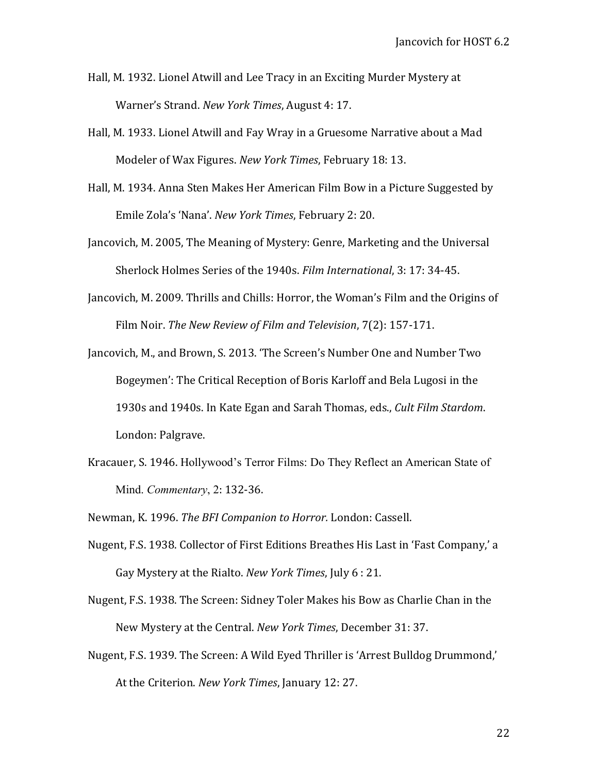- Hall, M. 1932. Lionel Atwill and Lee Tracy in an Exciting Murder Mystery at Warner's Strand. *New York Times*, August 4: 17.
- Hall, M. 1933. Lionel Atwill and Fay Wray in a Gruesome Narrative about a Mad Modeler of Wax Figures. *New York Times*, February 18: 13.
- Hall, M. 1934. Anna Sten Makes Her American Film Bow in a Picture Suggested by Emile Zola's 'Nana'. *New York Times*, February 2: 20.
- Jancovich, M. 2005, The Meaning of Mystery: Genre, Marketing and the Universal Sherlock Holmes Series of the 1940s. *Film International*, 3: 17: 34-45.
- Jancovich, M. 2009. Thrills and Chills: Horror, the Woman's Film and the Origins of Film Noir. *The New Review of Film and Television*, 7(2): 157-171.
- Jancovich, M., and Brown, S. 2013. 'The Screen's Number One and Number Two Bogeymen': The Critical Reception of Boris Karloff and Bela Lugosi in the 1930s and 1940s. In Kate Egan and Sarah Thomas, eds., *Cult Film Stardom*. London: Palgrave.
- Kracauer, S. 1946. Hollywood's Terror Films: Do They Reflect an American State of Mind. *Commentary*, 2: 132-36.
- Newman, K. 1996. *The BFI Companion to Horror.* London: Cassell.
- Nugent, F.S. 1938. Collector of First Editions Breathes His Last in 'Fast Company,' a Gay Mystery at the Rialto. *New York Times*, July 6 : 21.
- Nugent, F.S. 1938. The Screen: Sidney Toler Makes his Bow as Charlie Chan in the New Mystery at the Central. *New York Times*, December 31: 37.
- Nugent, F.S. 1939. The Screen: A Wild Eyed Thriller is 'Arrest Bulldog Drummond,' At the Criterion. *New York Times*, January 12: 27.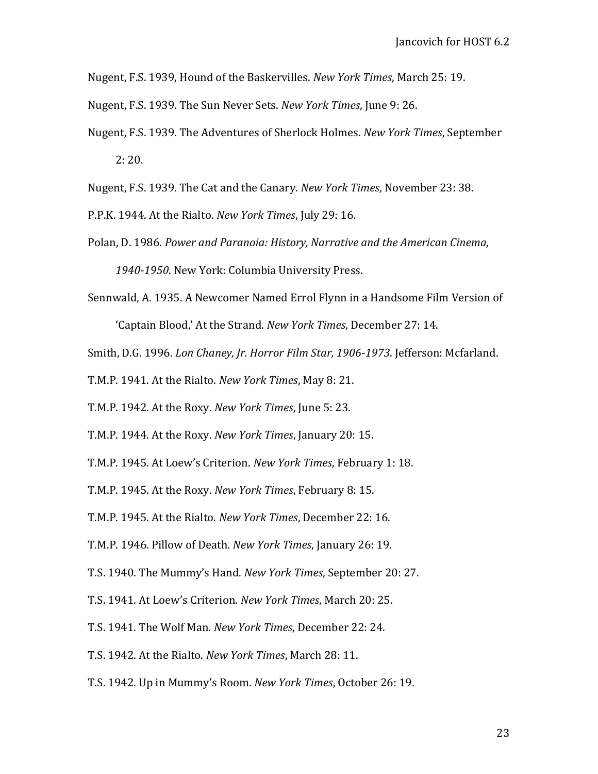Nugent, F.S. 1939, Hound of the Baskervilles. *New York Times*, March 25: 19.

- Nugent, F.S. 1939. The Sun Never Sets. *New York Times*, June 9: 26.
- Nugent, F.S. 1939. The Adventures of Sherlock Holmes. *New York Times*, September 2: 20.
- Nugent, F.S. 1939. The Cat and the Canary. *New York Times*, November 23: 38.

P.P.K. 1944. At the Rialto. *New York Times*, July 29: 16.

- Polan, D. 1986. *Power and Paranoia: History, Narrative and the American Cinema, 1940-1950*. New York: Columbia University Press.
- Sennwald, A. 1935. A Newcomer Named Errol Flynn in a Handsome Film Version of

'Captain Blood,' At the Strand. *New York Times*, December 27: 14.

- Smith, D.G. 1996. *Lon Chaney, Jr. Horror Film Star, 1906-1973*. Jefferson: Mcfarland.
- T.M.P. 1941. At the Rialto. *New York Times*, May 8: 21.
- T.M.P. 1942. At the Roxy. *New York Times*, June 5: 23.
- T.M.P. 1944. At the Roxy. *New York Times*, January 20: 15.
- T.M.P. 1945. At Loew's Criterion. *New York Times*, February 1: 18.
- T.M.P. 1945. At the Roxy. *New York Times*, February 8: 15.
- T.M.P. 1945. At the Rialto. *New York Times*, December 22: 16.
- T.M.P. 1946. Pillow of Death. *New York Times*, January 26: 19.
- T.S. 1940. The Mummy's Hand. *New York Times*, September 20: 27.
- T.S. 1941. At Loew's Criterion. *New York Times*, March 20: 25.
- T.S. 1941. The Wolf Man. *New York Times*, December 22: 24.
- T.S. 1942. At the Rialto. *New York Times*, March 28: 11.
- T.S. 1942. Up in Mummy's Room. *New York Times*, October 26: 19.